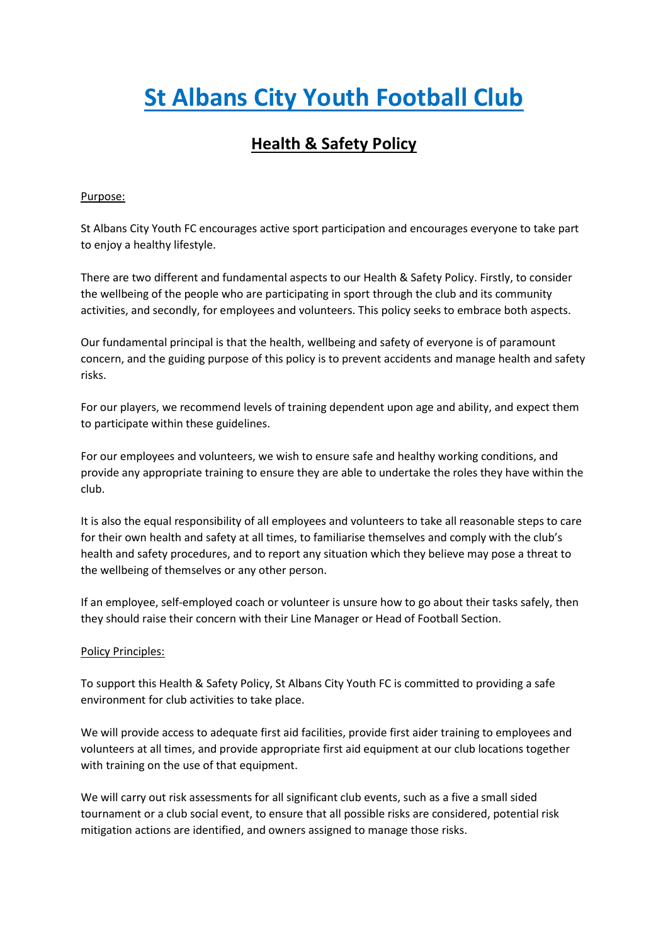# **St Albans City Youth Football Club**

# **Health & Safety Policy**

## Purpose:

St Albans City Youth FC encourages active sport participation and encourages everyone to take part to enjoy a healthy lifestyle.

There are two different and fundamental aspects to our Health & Safety Policy. Firstly, to consider the wellbeing of the people who are participating in sport through the club and its community activities, and secondly, for employees and volunteers. This policy seeks to embrace both aspects.

Our fundamental principal is that the health, wellbeing and safety of everyone is of paramount concern, and the guiding purpose of this policy is to prevent accidents and manage health and safety risks.

For our players, we recommend levels of training dependent upon age and ability, and expect them to participate within these guidelines.

For our employees and volunteers, we wish to ensure safe and healthy working conditions, and provide any appropriate training to ensure they are able to undertake the roles they have within the club.

It is also the equal responsibility of all employees and volunteers to take all reasonable steps to care for their own health and safety at all times, to familiarise themselves and comply with the club's health and safety procedures, and to report any situation which they believe may pose a threat to the wellbeing of themselves or any other person.

If an employee, self-employed coach or volunteer is unsure how to go about their tasks safely, then they should raise their concern with their Line Manager or Head of Football Section.

### Policy Principles:

To support this Health & Safety Policy, St Albans City Youth FC is committed to providing a safe environment for club activities to take place.

We will provide access to adequate first aid facilities, provide first aider training to employees and volunteers at all times, and provide appropriate first aid equipment at our club locations together with training on the use of that equipment.

We will carry out risk assessments for all significant club events, such as a five a small sided tournament or a club social event, to ensure that all possible risks are considered, potential risk mitigation actions are identified, and owners assigned to manage those risks.